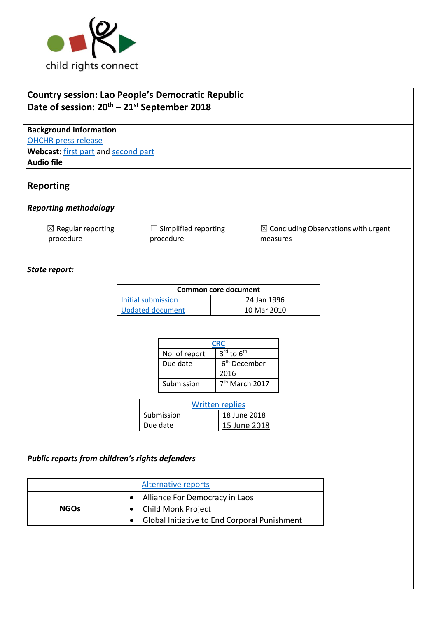

# **Country session: Lao People's Democratic Republic Date of session: 20th – 21st September 2018**

**Background information** [OHCHR press release](https://www.unog.ch/unog/website/news_media.nsf/(httpNewsByYear_en)/778D02B32E465F3EC125830F003DDA03?OpenDocument) **Webcast:** [first part](http://webtv.un.org/search/consideration-of-lao-peoples-democratic-republic-2318th-meeting-79th-session-committee-on-the-rights-of-the-child/5838003691001/?term=crc&sort=date&page=3) an[d second part](http://webtv.un.org/search/consideration-of-lao-peoples-democratic-republic%C2%A0-contd-2319th-meeting-79th-session-committee-on-the-rights-of-the-child/5838209996001/?term=crc&sort=date&page=3) **Audio file**

# **Reporting**

### *Reporting methodology*

 $\boxtimes$  Regular reporting procedure

 $\Box$  Simplified reporting procedure

 $\boxtimes$  Concluding Observations with urgent measures

### *State report:*

| Common core document |             |  |
|----------------------|-------------|--|
| Initial submission   | 24 Jan 1996 |  |
| Updated document     | 10 Mar 2010 |  |

| CRC           |                                    |  |
|---------------|------------------------------------|--|
| No. of report | $3^{\text{rd}}$ to $6^{\text{th}}$ |  |
| Due date      | 6 <sup>th</sup> December           |  |
|               | 2016                               |  |
| Submission    | 7 <sup>th</sup> March 2017         |  |

| Written replies |              |  |
|-----------------|--------------|--|
| Submission      | 18 June 2018 |  |
| Due date        | 15 June 2018 |  |

### *Public reports from children's rights defenders*

| Alternative reports |                                              |  |
|---------------------|----------------------------------------------|--|
|                     | • Alliance For Democracy in Laos             |  |
| <b>NGOs</b>         | • Child Monk Project                         |  |
|                     | Global Initiative to End Corporal Punishment |  |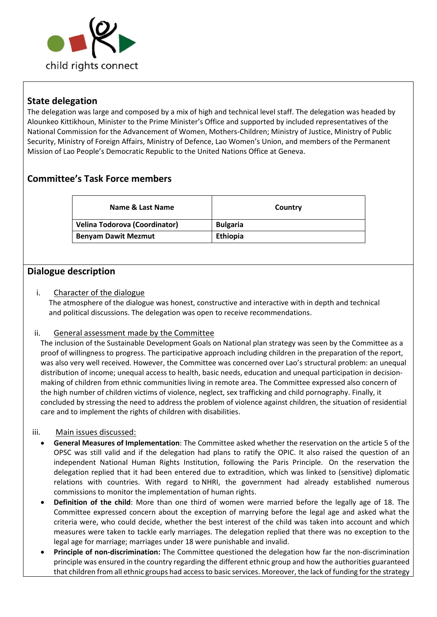

## **State delegation**

The delegation was large and composed by a mix of high and technical level staff. The delegation was headed by Alounkeo Kittikhoun, Minister to the Prime Minister's Office and supported by included representatives of the National Commission for the Advancement of Women, Mothers-Children; Ministry of Justice, Ministry of Public Security, Ministry of Foreign Affairs, Ministry of Defence, Lao Women's Union, and members of the Permanent Mission of Lao People's Democratic Republic to the United Nations Office at Geneva.

# **Committee's Task Force members**

| Name & Last Name                     | Country         |
|--------------------------------------|-----------------|
| <b>Velina Todorova (Coordinator)</b> | <b>Bulgaria</b> |
| <b>Benyam Dawit Mezmut</b>           | <b>Ethiopia</b> |

### **Dialogue description**

### i. Character of the dialogue

The atmosphere of the dialogue was honest, constructive and interactive with in depth and technical and political discussions. The delegation was open to receive recommendations.

#### ii. General assessment made by the Committee

The inclusion of the Sustainable Development Goals on National plan strategy was seen by the Committee as a proof of willingness to progress. The participative approach including children in the preparation of the report, was also very well received. However, the Committee was concerned over Lao's structural problem: an unequal distribution of income; unequal access to health, basic needs, education and unequal participation in decisionmaking of children from ethnic communities living in remote area. The Committee expressed also concern of the high number of children victims of violence, neglect, sex trafficking and child pornography. Finally, it concluded by stressing the need to address the problem of violence against children, the situation of residential care and to implement the rights of children with disabilities.

#### iii. Main issues discussed:

- **General Measures of Implementation**: The Committee asked whether the reservation on the article 5 of the OPSC was still valid and if the delegation had plans to ratify the OPIC. It also raised the question of an independent National Human Rights Institution, following the Paris Principle. On the reservation the delegation replied that it had been entered due to extradition, which was linked to (sensitive) diplomatic relations with countries. With regard to NHRI, the government had already established numerous commissions to monitor the implementation of human rights.
- **Definition of the child**: More than one third of women were married before the legally age of 18. The Committee expressed concern about the exception of marrying before the legal age and asked what the criteria were, who could decide, whether the best interest of the child was taken into account and which measures were taken to tackle early marriages. The delegation replied that there was no exception to the legal age for marriage; marriages under 18 were punishable and invalid.
- **Principle of non-discrimination:** The Committee questioned the delegation how far the non-discrimination principle was ensured in the country regarding the different ethnic group and how the authorities guaranteed that children from all ethnic groups had access to basic services. Moreover, the lack of funding for the strategy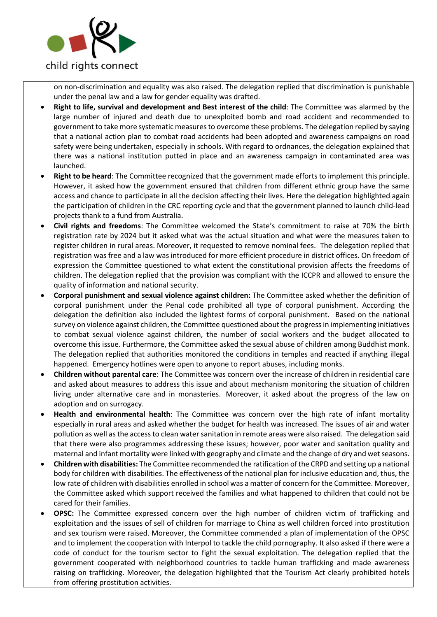

on non-discrimination and equality was also raised. The delegation replied that discrimination is punishable under the penal law and a law for gender equality was drafted.

- **Right to life, survival and development and Best interest of the child**: The Committee was alarmed by the large number of injured and death due to unexploited bomb and road accident and recommended to government to take more systematic measures to overcome these problems. The delegation replied by saying that a national action plan to combat road accidents had been adopted and awareness campaigns on road safety were being undertaken, especially in schools. With regard to ordnances, the delegation explained that there was a national institution putted in place and an awareness campaign in contaminated area was launched.
- **Right to be heard**: The Committee recognized that the government made efforts to implement this principle. However, it asked how the government ensured that children from different ethnic group have the same access and chance to participate in all the decision affecting their lives. Here the delegation highlighted again the participation of children in the CRC reporting cycle and that the government planned to launch child-lead projects thank to a fund from Australia.
- **Civil rights and freedoms**: The Committee welcomed the State's commitment to raise at 70% the birth registration rate by 2024 but it asked what was the actual situation and what were the measures taken to register children in rural areas. Moreover, it requested to remove nominal fees. The delegation replied that registration was free and a law was introduced for more efficient procedure in district offices. On freedom of expression the Committee questioned to what extent the constitutional provision affects the freedoms of children. The delegation replied that the provision was compliant with the ICCPR and allowed to ensure the quality of information and national security.
- **Corporal punishment and sexual violence against children:** The Committee asked whether the definition of corporal punishment under the Penal code prohibited all type of corporal punishment. According the delegation the definition also included the lightest forms of corporal punishment. Based on the national survey on violence against children, the Committee questioned about the progress in implementing initiatives to combat sexual violence against children, the number of social workers and the budget allocated to overcome this issue. Furthermore, the Committee asked the sexual abuse of children among Buddhist monk. The delegation replied that authorities monitored the conditions in temples and reacted if anything illegal happened. Emergency hotlines were open to anyone to report abuses, including monks.
- **Children without parental care**: The Committee was concern over the increase of children in residential care and asked about measures to address this issue and about mechanism monitoring the situation of children living under alternative care and in monasteries. Moreover, it asked about the progress of the law on adoption and on surrogacy.
- **Health and environmental health**: The Committee was concern over the high rate of infant mortality especially in rural areas and asked whether the budget for health was increased. The issues of air and water pollution as well as the access to clean water sanitation in remote areas were also raised. The delegation said that there were also programmes addressing these issues; however, poor water and sanitation quality and maternal and infant mortality were linked with geography and climate and the change of dry and wet seasons.
- **Children with disabilities:** The Committee recommended the ratification of the CRPD and setting up a national body for children with disabilities. The effectiveness of the national plan for inclusive education and, thus, the low rate of children with disabilities enrolled in school was a matter of concern for the Committee. Moreover, the Committee asked which support received the families and what happened to children that could not be cared for their families.
- **OPSC:** The Committee expressed concern over the high number of children victim of trafficking and exploitation and the issues of sell of children for marriage to China as well children forced into prostitution and sex tourism were raised. Moreover, the Committee commended a plan of implementation of the OPSC and to implement the cooperation with Interpol to tackle the child pornography. It also asked if there were a code of conduct for the tourism sector to fight the sexual exploitation. The delegation replied that the government cooperated with neighborhood countries to tackle human trafficking and made awareness raising on trafficking. Moreover, the delegation highlighted that the Tourism Act clearly prohibited hotels from offering prostitution activities.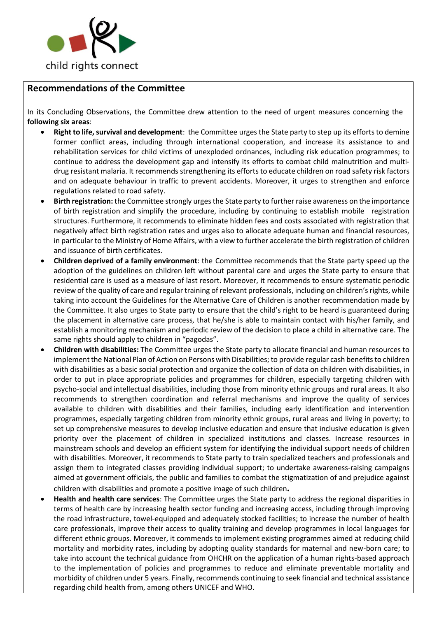

# **Recommendations of the Committee**

In its [Concluding Observations,](http://tbinternet.ohchr.org/_layouts/treatybodyexternal/Download.aspx?symbolno=CRC%2fC%2fLSO%2fCO%2f2&Lang=en) the Committee drew attention to the need of urgent measures concerning the **following six areas**:

- **Right to life, survival and development**: the Committee urges the State party to step up its efforts to demine former conflict areas, including through international cooperation, and increase its assistance to and rehabilitation services for child victims of unexploded ordnances, including risk education programmes; to continue to address the development gap and intensify its efforts to combat child malnutrition and multidrug resistant malaria. It recommends strengthening its efforts to educate children on road safety risk factors and on adequate behaviour in traffic to prevent accidents. Moreover, it urges to strengthen and enforce regulations related to road safety.
- **Birth registration:** the Committee strongly urges the State party to further raise awareness on the importance of birth registration and simplify the procedure, including by continuing to establish mobile registration structures. Furthermore, it recommends to eliminate hidden fees and costs associated with registration that negatively affect birth registration rates and urges also to allocate adequate human and financial resources, in particular to the Ministry of Home Affairs, with a view to further accelerate the birth registration of children and issuance of birth certificates.
- **Children deprived of a family environment**: the Committee recommends that the State party speed up the adoption of the guidelines on children left without parental care and urges the State party to ensure that residential care is used as a measure of last resort. Moreover, it recommends to ensure systematic periodic review of the quality of care and regular training of relevant professionals, including on children's rights, while taking into account the Guidelines for the Alternative Care of Children is another recommendation made by the Committee. It also urges to State party to ensure that the child's right to be heard is guaranteed during the placement in alternative care process, that he/she is able to maintain contact with his/her family, and establish a monitoring mechanism and periodic review of the decision to place a child in alternative care. The same rights should apply to children in "pagodas".
- **Children with disabilities:** The Committee urges the State party to allocate financial and human resources to implement the National Plan of Action on Persons with Disabilities; to provide regular cash benefits to children with disabilities as a basic social protection and organize the collection of data on children with disabilities, in order to put in place appropriate policies and programmes for children, especially targeting children with psycho-social and intellectual disabilities, including those from minority ethnic groups and rural areas. It also recommends to strengthen coordination and referral mechanisms and improve the quality of services available to children with disabilities and their families, including early identification and intervention programmes, especially targeting children from minority ethnic groups, rural areas and living in poverty; to set up comprehensive measures to develop inclusive education and ensure that inclusive education is given priority over the placement of children in specialized institutions and classes. Increase resources in mainstream schools and develop an efficient system for identifying the individual support needs of children with disabilities. Moreover, it recommends to State party to train specialized teachers and professionals and assign them to integrated classes providing individual support; to undertake awareness-raising campaigns aimed at government officials, the public and families to combat the stigmatization of and prejudice against children with disabilities and promote a positive image of such children**.**
- **Health and health care services**: The Committee urges the State party to address the regional disparities in terms of health care by increasing health sector funding and increasing access, including through improving the road infrastructure, towel-equipped and adequately stocked facilities; to increase the number of health care professionals, improve their access to quality training and develop programmes in local languages for different ethnic groups. Moreover, it commends to implement existing programmes aimed at reducing child mortality and morbidity rates, including by adopting quality standards for maternal and new-born care; to take into account the technical guidance from OHCHR on the application of a human rights-based approach to the implementation of policies and programmes to reduce and eliminate preventable mortality and morbidity of children under 5 years. Finally, recommends continuing to seek financial and technical assistance regarding child health from, among others UNICEF and WHO.